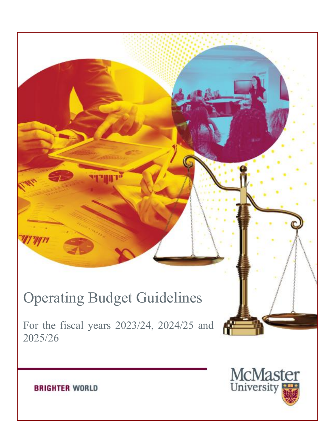# Operating Budget Guidelines

For the fiscal years 2023/24, 2024/25 and 2025/26



Æ

**BRIGHTER WORLD**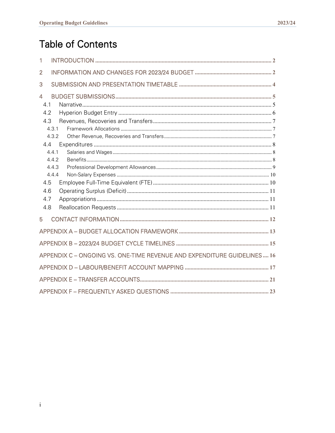# **Table of Contents**

| 1                                                                       |  |
|-------------------------------------------------------------------------|--|
| $\overline{2}$                                                          |  |
| 3                                                                       |  |
| $\overline{4}$                                                          |  |
| 4.1                                                                     |  |
| 4.2                                                                     |  |
| 4.3                                                                     |  |
| 4.3.1                                                                   |  |
| 4.3.2                                                                   |  |
| 4.4                                                                     |  |
| 4.4.1                                                                   |  |
| 442                                                                     |  |
| 4.4.3                                                                   |  |
| 4.4.4                                                                   |  |
| 4.5                                                                     |  |
| 4.6                                                                     |  |
| 4.7                                                                     |  |
| 4.8                                                                     |  |
| 5                                                                       |  |
|                                                                         |  |
|                                                                         |  |
| APPENDIX C - ONGOING VS. ONE-TIME REVENUE AND EXPENDITURE GUIDELINES 16 |  |
|                                                                         |  |
|                                                                         |  |
|                                                                         |  |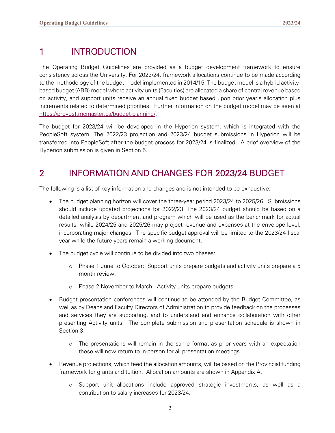# <span id="page-2-0"></span>1 INTRODUCTION

The Operating Budget Guidelines are provided as a budget development framework to ensure consistency across the University. For 2023/24, framework allocations continue to be made according to the methodology of the budget model implemented in 2014/15. The budget model is a hybrid activitybased budget (ABB) model where activity units (Faculties) are allocated a share of central revenue based on activity, and support units receive an annual fixed budget based upon prior year's allocation plus increments related to determined priorities. Further information on the budget model may be seen at [https://provost.mcmaster.ca/budget-planning/.](https://provost.mcmaster.ca/budget-planning/)

The budget for 2023/24 will be developed in the Hyperion system, which is integrated with the PeopleSoft system. The 2022/23 projection and 2023/24 budget submissions in Hyperion will be transferred into PeopleSoft after the budget process for 2023/24 is finalized. A brief overview of the Hyperion submission is given in Section 5.

# <span id="page-2-1"></span>2 INFORMATION AND CHANGES FOR 2023/24 BUDGET

The following is a list of key information and changes and is not intended to be exhaustive:

- The budget planning horizon will cover the three-year period 2023/24 to 2025/26. Submissions should include updated projections for 2022/23. The 2023/24 budget should be based on a detailed analysis by department and program which will be used as the benchmark for actual results, while 2024/25 and 2025/26 may project revenue and expenses at the envelope level, incorporating major changes. The specific budget approval will be limited to the 2023/24 fiscal year while the future years remain a working document.
- The budget cycle will continue to be divided into two phases:
	- o Phase 1 June to October: Support units prepare budgets and activity units prepare a 5 month review.
	- o Phase 2 November to March: Activity units prepare budgets.
- Budget presentation conferences will continue to be attended by the Budget Committee, as well as by Deans and Faculty Directors of Administration to provide feedback on the processes and services they are supporting, and to understand and enhance collaboration with other presenting Activity units. The complete submission and presentation schedule is shown in Section 3.
	- o The presentations will remain in the same format as prior years with an expectation these will now return to in-person for all presentation meetings.
- Revenue projections, which feed the allocation amounts, will be based on the Provincial funding framework for grants and tuition. Allocation amounts are shown in Appendix A.
	- o Support unit allocations include approved strategic investments, as well as a contribution to salary increases for 2023/24.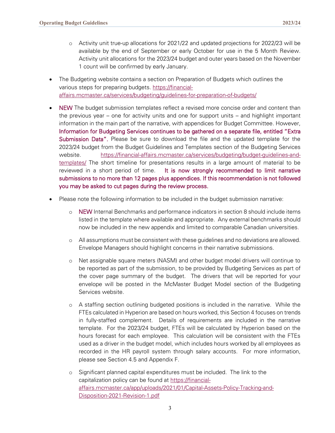- o Activity unit true-up allocations for 2021/22 and updated projections for 2022/23 will be available by the end of September or early October for use in the 5 Month Review. Activity unit allocations for the 2023/24 budget and outer years based on the November 1 count will be confirmed by early January.
- The Budgeting website contains a section on Preparation of Budgets which outlines the various steps for preparing budgets. [https://financial](https://financial-affairs.mcmaster.ca/services/budgeting/guidelines-for-preparation-of-budgets/)[affairs.mcmaster.ca/services/budgeting/guidelines-for-preparation-of-budgets/](https://financial-affairs.mcmaster.ca/services/budgeting/guidelines-for-preparation-of-budgets/)
- NEW The budget submission templates reflect a revised more concise order and content than the previous year – one for activity units and one for support units – and highlight important information in the main part of the narrative, with appendices for Budget Committee. However, Information for Budgeting Services continues to be gathered on a separate file, entitled "Extra Submission Data". Please be sure to download the file and the updated template for the 2023/24 budget from the Budget Guidelines and Templates section of the Budgeting Services website. [https://financial-affairs.mcmaster.ca/services/budgeting/budget-guidelines-and](https://financial-affairs.mcmaster.ca/services/budgeting/budget-guidelines-and-templates/)[templates/](https://financial-affairs.mcmaster.ca/services/budgeting/budget-guidelines-and-templates/) The short timeline for presentations results in a large amount of material to be reviewed in a short period of time. It is now strongly recommended to limit narrative submissions to no more than 12 pages plus appendices. If this recommendation is not followed you may be asked to cut pages during the review process.
- Please note the following information to be included in the budget submission narrative:
	- o NEW Internal Benchmarks and performance indicators in section 8 should include items listed in the template where available and appropriate. Any external benchmarks should now be included in the new appendix and limited to comparable Canadian universities.
	- o All assumptions must be consistent with these guidelines and no deviations are allowed. Envelope Managers should highlight concerns in their narrative submissions.
	- o Net assignable square meters (NASM) and other budget model drivers will continue to be reported as part of the submission, to be provided by Budgeting Services as part of the cover page summary of the budget. The drivers that will be reported for your envelope will be posted in the McMaster Budget Model section of the Budgeting Services website.
	- o A staffing section outlining budgeted positions is included in the narrative. While the FTEs calculated in Hyperion are based on hours worked, this Section 4 focuses on trends in fully-staffed complement. Details of requirements are included in the narrative template. For the 2023/24 budget, FTEs will be calculated by Hyperion based on the hours forecast for each employee. This calculation will be consistent with the FTEs used as a driver in the budget model, which includes hours worked by all employees as recorded in the HR payroll system through salary accounts. For more information, please see Section 4.5 and Appendix F.
	- o Significant planned capital expenditures must be included. The link to the capitalization policy can be found at [https://financial](https://financial-affairs.mcmaster.ca/app/uploads/2021/01/Capital-Assets-Policy-Tracking-and-Disposition-2021-Revision-1.pdf)[affairs.mcmaster.ca/app/uploads/2021/01/Capital-Assets-Policy-Tracking-and-](https://financial-affairs.mcmaster.ca/app/uploads/2021/01/Capital-Assets-Policy-Tracking-and-Disposition-2021-Revision-1.pdf)[Disposition-2021-Revision-1.pdf](https://financial-affairs.mcmaster.ca/app/uploads/2021/01/Capital-Assets-Policy-Tracking-and-Disposition-2021-Revision-1.pdf)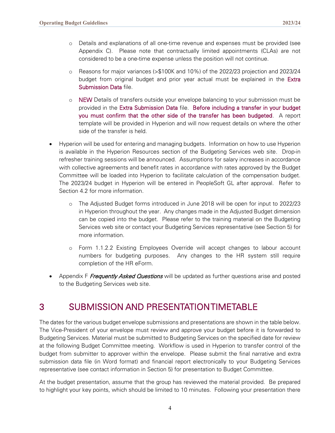- o Details and explanations of all one-time revenue and expenses must be provided (see Appendix C). Please note that contractually limited appointments (CLAs) are not considered to be a one-time expense unless the position will not continue.
- o Reasons for major variances (>\$100K and 10%) of the 2022/23 projection and 2023/24 budget from original budget and prior year actual must be explained in the Extra Submission Data file.
- o NEW Details of transfers outside your envelope balancing to your submission must be provided in the Extra Submission Data file. Before including a transfer in your budget you must confirm that the other side of the transfer has been budgeted. A report template will be provided in Hyperion and will now request details on where the other side of the transfer is held.
- Hyperion will be used for entering and managing budgets. Information on how to use Hyperion is available in the Hyperion Resources section of the Budgeting Services web site. Drop-in refresher training sessions will be announced. Assumptions for salary increases in accordance with collective agreements and benefit rates in accordance with rates approved by the Budget Committee will be loaded into Hyperion to facilitate calculation of the compensation budget. The 2023/24 budget in Hyperion will be entered in PeopleSoft GL after approval. Refer to Section 4.2 for more information.
	- o The Adjusted Budget forms introduced in June 2018 will be open for input to 2022/23 in Hyperion throughout the year. Any changes made in the Adjusted Budget dimension can be copied into the budget. Please refer to the training material on the Budgeting Services web site or contact your Budgeting Services representative (see Section 5) for more information.
	- o Form 1.1.2.2 Existing Employees Override will accept changes to labour account numbers for budgeting purposes. Any changes to the HR system still require completion of the HR eForm.
- Appendix F *Frequently Asked Questions* will be updated as further questions arise and posted to [the](http://www.mcmaster.ca/bms/BMS_FS_Budgeting.htm) Budgeting Services web site.

# <span id="page-4-0"></span>3 SUBMISSION AND PRESENTATION TIMETABLE

The dates for the various budget envelope submissions and presentations are shown in the table below. The Vice-President of your envelope must review and approve your budget before it is forwarded to Budgeting Services. Material must be submitted to Budgeting Services on the specified date for review at the following Budget Committee meeting. Workflow is used in Hyperion to transfer control of the budget from submitter to approver within the envelope. Please submit the final narrative and extra submission data file (in Word format) and financial report electronically to your Budgeting Services representative (see contact information in Section 5) for presentation to Budget Committee.

At the budget presentation, assume that the group has reviewed the material provided. Be prepared to highlight your key points, which should be limited to 10 minutes. Following your presentation there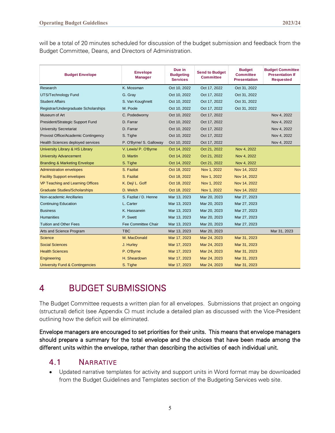will be a total of 20 minutes scheduled for discussion of the budget submission and feedback from the Budget Committee, Deans, and Directors of Administration.

| <b>Budget Envelope</b>                     | <b>Envelope</b><br><b>Manager</b> | Due in<br><b>Budgeting</b><br><b>Services</b> | <b>Send to Budget</b><br><b>Committee</b> | <b>Budget</b><br><b>Committee</b><br><b>Presentation</b> | <b>Budget Committee</b><br><b>Presentation If</b><br><b>Requested</b> |
|--------------------------------------------|-----------------------------------|-----------------------------------------------|-------------------------------------------|----------------------------------------------------------|-----------------------------------------------------------------------|
| Research                                   | K. Mossman                        | Oct 10, 2022                                  | Oct 17, 2022                              | Oct 31, 2022                                             |                                                                       |
| UTS/Technology Fund                        | G. Gray                           | Oct 10, 2022                                  | Oct 17, 2022                              | Oct 31, 2022                                             |                                                                       |
| <b>Student Affairs</b>                     | S. Van Koughnett                  | Oct 10, 2022                                  | Oct 17, 2022                              | Oct 31, 2022                                             |                                                                       |
| Registrar/Undergraduate Scholarships       | M. Poole                          | Oct 10, 2022                                  | Oct 17, 2022                              | Oct 31, 2022                                             |                                                                       |
| Museum of Art                              | C. Podedworny                     | Oct 10, 2022                                  | Oct 17, 2022                              |                                                          | Nov 4, 2022                                                           |
| President/Strategic Support Fund           | D. Farrar                         | Oct 10, 2022                                  | Oct 17, 2022                              |                                                          | Nov 4, 2022                                                           |
| <b>University Secretariat</b>              | D. Farrar                         | Oct 10, 2022                                  | Oct 17, 2022                              |                                                          | Nov 4, 2022                                                           |
| Provost Office/Academic Contingency        | S. Tighe                          | Oct 10, 2022                                  | Oct 17, 2022                              |                                                          | Nov 4, 2022                                                           |
| Health Sciences deployed services          | P. O'Byrne/ S. Galloway           | Oct 10, 2022                                  | Oct 17, 2022                              |                                                          | Nov 4, 2022                                                           |
| University Library & HS Library            | V. Lewis/ P. O'Byrne              | Oct 14, 2022                                  | Oct 21, 2022                              | Nov 4, 2022                                              |                                                                       |
| <b>University Advancement</b>              | D. Martin                         | Oct 14, 2022                                  | Oct 21, 2022                              | Nov 4, 2022                                              |                                                                       |
| <b>Branding &amp; Marketing Envelope</b>   | S. Tighe                          | Oct 14, 2022                                  | Oct 21, 2022                              | Nov 4, 2022                                              |                                                                       |
| <b>Administration envelopes</b>            | S. Fazilat                        | Oct 18, 2022                                  | Nov 1, 2022                               | Nov 14, 2022                                             |                                                                       |
| <b>Facility Support envelopes</b>          | S. Fazilat                        | Oct 18, 2022                                  | Nov 1, 2022                               | Nov 14, 2022                                             |                                                                       |
| VP Teaching and Learning Offices           | K. Dej/ L. Goff                   | Oct 18, 2022                                  | Nov 1, 2022                               | Nov 14, 2022                                             |                                                                       |
| <b>Graduate Studies/Scholarships</b>       | D. Welch                          | Oct 18, 2022                                  | Nov 1, 2022                               | Nov 14, 2022                                             |                                                                       |
| Non-academic Ancillaries                   | S. Fazilat / D. Henne             | Mar 13, 2023                                  | Mar 20, 2023                              | Mar 27, 2023                                             |                                                                       |
| <b>Continuing Education</b>                | L. Carter                         | Mar 13, 2023                                  | Mar 20, 2023                              | Mar 27, 2023                                             |                                                                       |
| <b>Business</b>                            | K. Hassanein                      | Mar 13, 2023                                  | Mar 20, 2023                              | Mar 27, 2023                                             |                                                                       |
| <b>Humanities</b>                          | P. Swett                          | Mar 13, 2023                                  | Mar 20, 2023                              | Mar 27, 2023                                             |                                                                       |
| <b>Tuition and Other Fees</b>              | Fee Committee Chair               | Mar 13, 2023                                  | Mar 20, 2023                              | Mar 27, 2023                                             |                                                                       |
| Arts and Science Program                   | <b>TBC</b>                        | Mar 13, 2023                                  | Mar 20, 2023                              |                                                          | Mar 31, 2023                                                          |
| <b>Science</b>                             | M. MacDonald                      | Mar 17, 2023                                  | Mar 24, 2023                              | Mar 31, 2023                                             |                                                                       |
| <b>Social Sciences</b>                     | J. Hurley                         | Mar 17, 2023                                  | Mar 24, 2023                              | Mar 31, 2023                                             |                                                                       |
| <b>Health Sciences</b>                     | P. O'Byrne                        | Mar 17, 2023                                  | Mar 24, 2023                              | Mar 31, 2023                                             |                                                                       |
| Engineering                                | H. Sheardown                      | Mar 17, 2023                                  | Mar 24, 2023                              | Mar 31, 2023                                             |                                                                       |
| <b>University Fund &amp; Contingencies</b> | S. Tighe                          | Mar 17, 2023                                  | Mar 24, 2023                              | Mar 31, 2023                                             |                                                                       |

# <span id="page-5-0"></span>4 BUDGET SUBMISSIONS

The Budget Committee requests a written plan for all envelopes. Submissions that project an ongoing (structural) deficit (see Appendix C) must include a detailed plan as discussed with the Vice-President outlining how the deficit will be eliminated.

Envelope managers are encouraged to set priorities for their units. This means that envelope managers should prepare a summary for the total envelope and the choices that have been made among the different units within the envelope, rather than describing the activities of each individual unit.

### <span id="page-5-1"></span>4.1 NARRATIVE

• Updated narrative templates for activity and support units in Word format may be downloaded from the Budget Guidelines and Templates section of the Budgeting Services web site.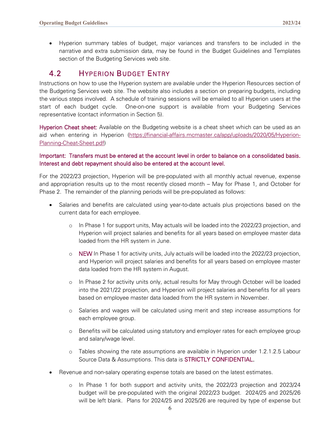• Hyperion summary tables of budget, major variances and transfers to be included in the narrative and extra submission data, may be found in the Budget Guidelines and Templates section of the Budgeting Services web site.

### <span id="page-6-0"></span>4.2 HYPERION BUDGET ENTRY

Instructions on how to use the Hyperion system are available under the Hyperion Resources section of the Budgeting Services web site. The website also includes a section on preparing budgets, including the various steps involved. A schedule of training sessions will be emailed to all Hyperion users at the start of each budget cycle. One-on-one support is available from your Budgeting Services representative (contact information in Section 5).

Hyperion Cheat sheet: Available on the Budgeting website is a cheat sheet which can be used as an aid when entering in Hyperion [\(https://financial-affairs.mcmaster.ca/app/uploads/2020/05/Hyperion-](https://financial-affairs.mcmaster.ca/app/uploads/2020/05/Hyperion-Planning-Cheat-Sheet.pdf)[Planning-Cheat-Sheet.pdf\)](https://financial-affairs.mcmaster.ca/app/uploads/2020/05/Hyperion-Planning-Cheat-Sheet.pdf)

#### Important: Transfers must be entered at the account level in order to balance on a consolidated basis. Interest and debt repayment should also be entered at the account level.

For the 2022/23 projection, Hyperion will be pre-populated with all monthly actual revenue, expense and appropriation results up to the most recently closed month – May for Phase 1, and October for Phase 2. The remainder of the planning periods will be pre-populated as follows:

- Salaries and benefits are calculated using year-to-date actuals plus projections based on the current data for each employee.
	- o In Phase 1 for support units, May actuals will be loaded into the 2022/23 projection, and Hyperion will project salaries and benefits for all years based on employee master data loaded from the HR system in June.
	- $\circ$  NEW In Phase 1 for activity units, July actuals will be loaded into the 2022/23 projection, and Hyperion will project salaries and benefits for all years based on employee master data loaded from the HR system in August.
	- o In Phase 2 for activity units only, actual results for May through October will be loaded into the 2021/22 projection, and Hyperion will project salaries and benefits for all years based on employee master data loaded from the HR system in November.
	- o Salaries and wages will be calculated using merit and step increase assumptions for each employee group.
	- o Benefits will be calculated using statutory and employer rates for each employee group and salary/wage level.
	- o Tables showing the rate assumptions are available in Hyperion under 1.2.1.2.5 Labour Source Data & Assumptions. This data is STRICTLY CONFIDENTIAL.
- Revenue and non-salary operating expense totals are based on the latest estimates.
	- o In Phase 1 for both support and activity units, the 2022/23 projection and 2023/24 budget will be pre-populated with the original 2022/23 budget. 2024/25 and 2025/26 will be left blank. Plans for 2024/25 and 2025/26 are required by type of expense but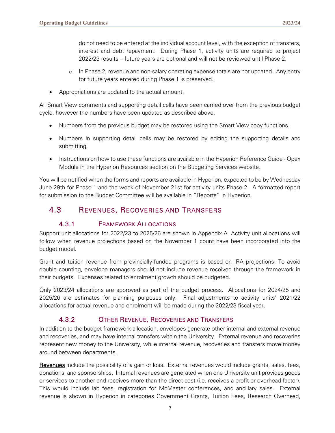do not need to be entered at the individual account level, with the exception of transfers, interest and debt repayment. During Phase 1, activity units are required to project 2022/23 results – future years are optional and will not be reviewed until Phase 2.

- o In Phase 2, revenue and non-salary operating expense totals are not updated. Any entry for future years entered during Phase 1 is preserved.
- Appropriations are updated to the actual amount.

All Smart View comments and supporting detail cells have been carried over from the previous budget cycle, however the numbers have been updated as described above.

- Numbers from the previous budget may be restored using the Smart View copy functions.
- Numbers in supporting detail cells may be restored by editing the supporting details and submitting.
- Instructions on how to use these functions are available in the Hyperion Reference Guide Opex Module in the Hyperion Resources section on the Budgeting Services website.

You will be notified when the forms and reports are available in Hyperion, expected to be by Wednesday June 29th for Phase 1 and the week of November 21st for activity units Phase 2. A formatted report for submission to the Budget Committee will be available in "Reports" in Hyperion.

### <span id="page-7-0"></span>4.3 REVENUES, RECOVERIES AND TRANSFERS

### 4.3.1 FRAMEWORK ALLOCATIONS

<span id="page-7-1"></span>Support unit allocations for 2022/23 to 2025/26 are shown in Appendix A. Activity unit allocations will follow when revenue projections based on the November 1 count have been incorporated into the budget model.

Grant and tuition revenue from provincially-funded programs is based on IRA projections. To avoid double counting, envelope managers should not include revenue received through the framework in their budgets. Expenses related to enrolment growth should be budgeted.

Only 2023/24 allocations are approved as part of the budget process. Allocations for 2024/25 and 2025/26 are estimates for planning purposes only. Final adjustments to activity units' 2021/22 allocations for actual revenue and enrolment will be made during the 2022/23 fiscal year.

### 4.3.2 OTHER REVENUE, RECOVERIES AND TRANSFERS

<span id="page-7-2"></span>In addition to the budget framework allocation, envelopes generate other internal and external revenue and recoveries, and may have internal transfers within the University. External revenue and recoveries represent new money to the University, while internal revenue, recoveries and transfers move money around between departments.

Revenues include the possibility of a gain or loss. External revenues would include grants, sales, fees, donations, and sponsorships. Internal revenues are generated when one University unit provides goods or services to another and receives more than the direct cost (i.e. receives a profit or overhead factor). This would include lab fees, registration for McMaster conferences, and ancillary sales. External revenue is shown in Hyperion in categories Government Grants, Tuition Fees, Research Overhead,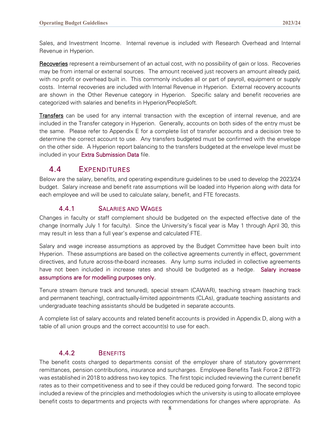Sales, and Investment Income. Internal revenue is included with Research Overhead and Internal Revenue in Hyperion.

Recoveries represent a reimbursement of an actual cost, with no possibility of gain or loss. Recoveries may be from internal or external sources. The amount received just recovers an amount already paid, with no profit or overhead built in. This commonly includes all or part of payroll, equipment or supply costs. Internal recoveries are included with Internal Revenue in Hyperion. External recovery accounts are shown in the Other Revenue category in Hyperion. Specific salary and benefit recoveries are categorized with salaries and benefits in Hyperion/PeopleSoft.

**Transfers** can be used for any internal transaction with the exception of internal revenue, and are included in the Transfer category in Hyperion. Generally, accounts on both sides of the entry must be the same. Please refer to Appendix E for a complete list of transfer accounts and a decision tree to determine the correct account to use. Any transfers budgeted must be confirmed with the envelope on the other side. A Hyperion report balancing to the transfers budgeted at the envelope level must be included in your Extra Submission Data file.

### <span id="page-8-0"></span>4.4 EXPENDITURES

Below are the salary, benefits, and operating expenditure guidelines to be used to develop the 2023/24 budget. Salary increase and benefit rate assumptions will be loaded into Hyperion along with data for each employee and will be used to calculate salary, benefit, and FTE forecasts.

#### 4.4.1 SALARIES AND WAGES

<span id="page-8-1"></span>Changes in faculty or staff complement should be budgeted on the expected effective date of the change (normally July 1 for faculty). Since the University's fiscal year is May 1 through April 30, this may result in less than a full year's expense and calculated FTE.

Salary and wage increase assumptions as approved by the Budget Committee have been built into Hyperion. These assumptions are based on the collective agreements currently in effect, government directives, and future across-the-board increases. Any lump sums included in collective agreements have not been included in increase rates and should be budgeted as a hedge. Salary increase assumptions are for modelling purposes only.

Tenure stream (tenure track and tenured), special stream (CAWAR), teaching stream (teaching track and permanent teaching), contractually-limited appointments (CLAs), graduate teaching assistants and undergraduate teaching assistants should be budgeted in separate accounts.

A complete list of salary accounts and related benefit accounts is provided in Appendix D, along with a table of all union groups and the correct account(s) to use for each.

### 4.4.2 BENEFITS

<span id="page-8-2"></span>The benefit costs charged to departments consist of the employer share of statutory government remittances, pension contributions, insurance and surcharges. Employee Benefits Task Force 2 (BTF2) was established in 2018 to address two key topics. The first topic included reviewing the current benefit rates as to their competitiveness and to see if they could be reduced going forward. The second topic included a review of the principles and methodologies which the university is using to allocate employee benefit costs to departments and projects with recommendations for changes where appropriate. As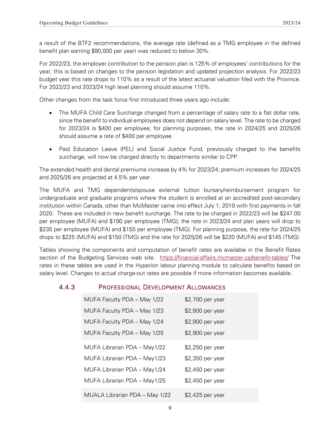a result of the BTF2 recommendations, the average rate (defined as a TMG employee in the defined benefit plan earning \$90,000 per year) was reduced to below 30%.

For 2022/23, the employer contribution to the pension plan is 125% of employees' contributions for the year; this is based on changes to the pension legislation and updated projection analysis. For 2022/23 budget year this rate drops to 110% as a result of the latest actuarial valuation filed with the Province. For 2022/23 and 2023/24 high level planning should assume 110%.

Other changes from the task force first introduced three years ago include:

- The MUFA Child Care Surcharge changed from a percentage of salary rate to a flat dollar rate, since the benefit to individual employees does not depend on salary level. The rate to be charged for 2023/24 is \$400 per employee; for planning purposes, the rate in 2024/25 and 2025/26 should assume a rate of \$400 per employee.
- Paid Education Leave (PEL) and Social Justice Fund, previously charged to the benefits surcharge, will now be charged directly to departments similar to CPP.

The extended health and dental premiums increase by 4% for 2023/24; premium increases for 2024/25 and 2025/26 are projected at 4.5% per year.

The MUFA and TMG dependents/spouse external tuition bursary/reimbursement program for undergraduate and graduate programs where the student is enrolled at an accredited post-secondary institution within Canada, other than McMaster came into effect July 1, 2019 with first payments in fall 2020. These are included in new benefit surcharge. The rate to be charged in 2022/23 will be \$247.00 per employee (MUFA) and \$190 per employee (TMG); the rate in 2023/24 and plan years will drop to \$235 per employee (MUFA) and \$155 per employee (TMG). For planning purpose, the rate for 2024/25 drops to \$225 (MUFA) and \$150 (TMG) and the rate for 2025/26 will be \$220 (MUFA) and \$145 (TMG)

Tables showing the components and computation of benefit rates are available in the Benefit Rates section of the Budgeting Services web site. <https://financial-affairs.mcmaster.ca/benefit-tables/> The rates in these tables are used in the Hyperion labour planning module to calculate benefits based on salary level. Changes to actual charge-out rates are possible if more information becomes available.

#### <span id="page-9-0"></span>4.4.3 PROFESSIONAL DEVELOPMENT ALLOWANCES

| MUFA Faculty PDA - May 1/22    | \$2,700 per year |
|--------------------------------|------------------|
| MUFA Faculty PDA - May 1/23    | \$2,800 per year |
| MUFA Faculty PDA - May 1/24    | \$2,900 per year |
| MUFA Faculty PDA - May 1/25    | \$2,900 per year |
| MUFA Librarian PDA - May1/22   | \$2,250 per year |
| MUFA Librarian PDA - May1/23   | \$2,350 per year |
| MUFA Librarian PDA - May1/24   | \$2,450 per year |
| MUFA Librarian PDA - May1/25   | \$2,450 per year |
| MUALA Librarian PDA - May 1/22 | \$2,425 per year |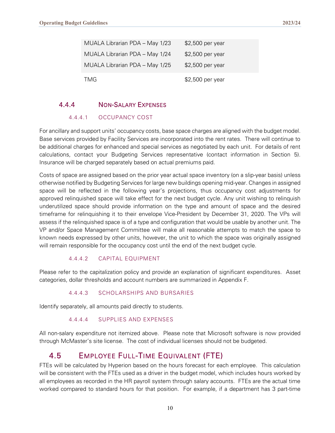| MUALA Librarian PDA - May 1/23 | \$2,500 per year |
|--------------------------------|------------------|
| MUALA Librarian PDA - May 1/24 | \$2,500 per year |
| MUALA Librarian PDA - May 1/25 | \$2,500 per year |
| TMG                            | \$2,500 per year |

#### <span id="page-10-0"></span>4.4.4 NON-SALARY EXPENSES

#### 4.4.4.1 OCCUPANCY COST

For ancillary and support units' occupancy costs, base space charges are aligned with the budget model. Base services provided by Facility Services are incorporated into the rent rates. There will continue to be additional charges for enhanced and special services as negotiated by each unit. For details of rent calculations, contact your Budgeting Services representative (contact information in Section 5). Insurance will be charged separately based on actual premiums paid.

Costs of space are assigned based on the prior year actual space inventory (on a slip-year basis) unless otherwise notified by Budgeting Services for large new buildings opening mid-year. Changes in assigned space will be reflected in the following year's projections, thus occupancy cost adjustments for approved relinquished space will take effect for the next budget cycle. Any unit wishing to relinquish underutilized space should provide information on the type and amount of space and the desired timeframe for relinquishing it to their envelope Vice-President by December 31, 2020. The VPs will assess if the relinquished space is of a type and configuration that would be usable by another unit. The VP and/or Space Management Committee will make all reasonable attempts to match the space to known needs expressed by other units, however, the unit to which the space was originally assigned will remain responsible for the occupancy cost until the end of the next budget cycle.

#### 4.4.4.2 CAPITAL EQUIPMENT

Please refer to the capitalization policy and provide an explanation of significant expenditures. Asset categories, dollar thresholds and account numbers are summarized in Appendix F.

#### 4.4.4.3 SCHOLARSHIPS AND BURSARIES

Identify separately, all amounts paid directly to students.

#### 4.4.4.4 SUPPLIES AND EXPENSES

All non-salary expenditure not itemized above. Please note that Microsoft software is now provided through McMaster's site license. The cost of individual licenses should not be budgeted.

### <span id="page-10-1"></span>4.5 EMPLOYEE FULL-TIME EQUIVALENT (FTE)

FTEs will be calculated by Hyperion based on the hours forecast for each employee. This calculation will be consistent with the FTEs used as a driver in the budget model, which includes hours worked by all employees as recorded in the HR payroll system through salary accounts. FTEs are the actual time worked compared to standard hours for that position. For example, if a department has 3 part-time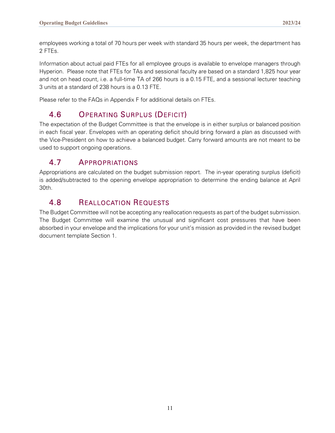employees working a total of 70 hours per week with standard 35 hours per week, the department has 2 FTEs.

Information about actual paid FTEs for all employee groups is available to envelope managers through Hyperion. Please note that FTEs for TAs and sessional faculty are based on a standard 1,825 hour year and not on head count, i.e. a full-time TA of 266 hours is a 0.15 FTE, and a sessional lecturer teaching 3 units at a standard of 238 hours is a 0.13 FTE.

Please refer to the FAQs in Appendix F for additional details on FTEs.

### <span id="page-11-0"></span>4.6 OPERATING SURPLUS (DEFICIT)

The expectation of the Budget Committee is that the envelope is in either surplus or balanced position in each fiscal year. Envelopes with an operating deficit should bring forward a plan as discussed with the Vice-President on how to achieve a balanced budget. Carry forward amounts are not meant to be used to support ongoing operations.

### <span id="page-11-1"></span>4.7 APPROPRIATIONS

Appropriations are calculated on the budget submission report. The in-year operating surplus (deficit) is added/subtracted to the opening envelope appropriation to determine the ending balance at April 30th.

### <span id="page-11-2"></span>4.8 REALLOCATION REQUESTS

The Budget Committee will not be accepting any reallocation requests as part of the budget submission. The Budget Committee will examine the unusual and significant cost pressures that have been absorbed in your envelope and the implications for your unit's mission as provided in the revised budget document template Section 1.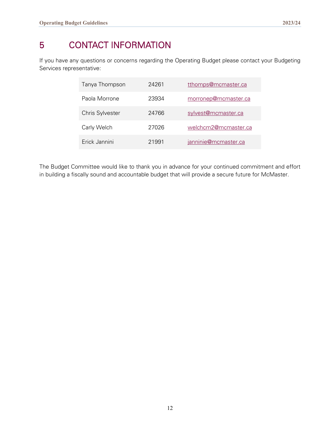# <span id="page-12-0"></span>5 CONTACT INFORMATION

If you have any questions or concerns regarding the Operating Budget please contact your Budgeting Services representative:

| Tanya Thompson  | 24261 | tthomps@mcmaster.ca  |
|-----------------|-------|----------------------|
| Paola Morrone   | 23934 | morronep@mcmaster.ca |
| Chris Sylvester | 24766 | sylvest@mcmaster.ca  |
| Carly Welch     | 27026 | welchcm2@mcmaster.ca |
| Erick Jannini   | 21991 | janninie@mcmaster.ca |

The Budget Committee would like to thank you in advance for your continued commitment and effort in building a fiscally sound and accountable budget that will provide a secure future for McMaster.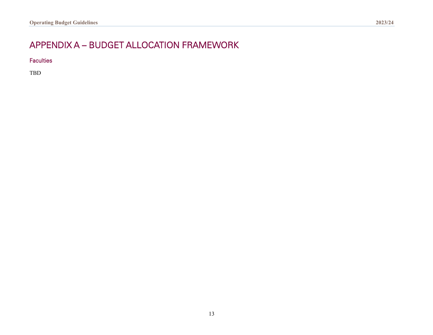# APPENDIX A – BUDGET ALLOCATION FRAMEWORK

**Faculties** 

<span id="page-13-0"></span>TBD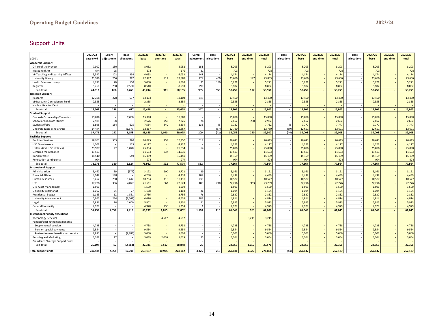### Support Units

|                                           | 2021/22   | Salary     | Base        | 2022/23 | 2022/23  | 2022/23 | Comp.      | Base                     | 2023/24 | 2023/24        | 2023/24 | Base        | 2024/25 | 2024/25  | 2024/25 | Base        | 2025/26 | 2025/26  | 2025/26 |
|-------------------------------------------|-----------|------------|-------------|---------|----------|---------|------------|--------------------------|---------|----------------|---------|-------------|---------|----------|---------|-------------|---------|----------|---------|
| \$000's                                   | base cfwd | adjustment | allocations | base    | one-time | total   | adjustment | allocations              | base    | one-time       | total   | allocations | base    | one-time | total   | allocations | base    | one-time | total   |
| <b>Academic Support</b>                   |           |            |             |         |          |         |            |                          |         |                |         |             |         |          |         |             |         |          |         |
| Office of the Provost                     | 7,902     | 150        |             | 8,052   |          | 8,052   | 151        |                          | 8,203   |                | 8,203   |             | 8,203   |          | 8,203   |             | 8,203   |          | 8,203   |
| Museum of Art                             | 644       | 28         |             | 672     |          | 672     | 31         |                          | 703     |                | 703     |             | 703     |          | 703     |             | 703     |          | 703     |
| VP Teaching and Learning Offices          | 3,597     | 102        | 334         | 4,033   |          | 4,033   | 141        |                          | 4,174   |                | 4,174   |             | 4,174   |          | 4,174   |             | 4,174   |          | 4,174   |
| University Library                        | 21,929    | 266        | 782         | 22,977  | 911      | 23,888  | 279        | 400                      | 23,656  | 197            | 23,853  |             | 23,656  |          | 23,656  |             | 23,656  |          | 23,656  |
| <b>Health Sciences Library</b>            | 4,780     | 70         | 150         | 5,000   |          | 5,000   | 71         | 150                      | 5,221   |                | 5,221   |             | 5,221   |          | 5,221   |             | 5,221   |          | 5,221   |
| Registrar                                 | 5,760     | 250        | 2,500       | 8,510   |          | 8,510   | 292        |                          | 8,802   |                | 8,802   |             | 8,802   |          | 8.802   |             | 8.802   |          | 8,802   |
| Sub-total                                 | 44,612    | 866        | 3,766       | 49,244  | 911      | 50,155  | 965        | 550                      | 50,759  | 197            | 50,956  | $\sim$      | 50,759  | $\sim$   | 50,759  | $\sim$      | 50,759  | $\sim$   | 50,759  |
| <b>Research Support</b>                   |           |            |             |         |          |         |            |                          |         |                |         |             |         |          |         |             |         |          |         |
| Research                                  | 12,208    | 278        | 617         | 13,103  |          | 13,103  | 347        |                          | 13,450  |                | 13,450  |             | 13,450  |          | 13,450  |             | 13,450  |          | 13,450  |
| VP Research Discretionary Fund            | 2,355     |            |             | 2,355   |          | 2,355   |            |                          | 2,355   |                | 2,355   |             | 2,355   |          | 2,355   |             | 2,355   |          | 2,355   |
| Nuclear Reactor Debt                      |           |            |             |         |          |         |            |                          |         |                |         |             |         |          |         |             |         |          |         |
| Sub-total                                 | 14.563    | 278        | 617         | 15.458  | $\sim$   | 15,458  | 347        | $\overline{\phantom{a}}$ | 15.805  |                | 15.805  | $\sim$      | 15,805  | $\sim$   | 15,805  | $\sim$      | 15.805  |          | 15,805  |
| <b>Student Support</b>                    |           |            |             |         |          |         |            |                          |         |                |         |             |         |          |         |             |         |          |         |
| Graduate Scholarships/Bursaries           | 13,828    |            | 2,060       | 15,888  |          | 15,888  |            |                          | 15,888  |                | 15,888  | - 1         | 15,888  |          | 15,888  |             | 15,888  |          | 15,888  |
| School of Graduate Studies                | 2,508     | 68         |             | 2,576   | 250      | 2,826   | 76         |                          | 2,652   | 250            | 2,902   |             | 2,652   |          | 2,652   |             | 2,652   |          | 2,652   |
| <b>Student Affairs</b>                    | 6,695     | 184        | 675         | 7,554   | 840      | 8,394   | 133        | 45                       | 7,732   |                | 7,732   | 45          | 7,777   |          | 7,777   |             | 7,777   |          | 7,777   |
| Undergraduate Scholarships                | 14.444    |            | (1,577)     | 12,867  |          | 12,867  |            | (87)                     | 12,780  |                | 12,780  | (89)        | 12,691  |          | 12,691  |             | 12.691  |          | 12,691  |
| Sub-total                                 | 37,475    | 252        | 1,158       | 38,885  | 1,090    | 39,975  | 209        | (42)                     | 39,052  | 250            | 39,302  | (44)        | 39,008  |          | 39,008  | $\sim$      | 39,008  |          | 39,008  |
| <b>Facilities Support</b>                 |           |            |             |         |          |         |            |                          |         |                |         |             |         |          |         |             |         |          |         |
| <b>Facilities Services</b>                | 18,962    | 353        | 780         | 20,095  | 255      | 20,350  | 518        |                          | 20,613  |                | 20,613  |             | 20,613  |          | 20,613  |             | 20,613  |          | 20,613  |
| <b>HSC Maintenance</b>                    | 4,002     |            | 125         | 4,127   |          | 4,127   |            |                          | 4,127   |                | 4,127   |             | 4,127   |          | 4,127   |             | 4,127   |          | 4,127   |
| Utilities (incl. HSC Utilities)           | 23,937    | 27         | 1,070       | 25,034  |          | 25,034  | 64         |                          | 25,098  |                | 25,098  |             | 25,098  |          | 25,098  |             | 25,098  |          | 25,098  |
| Deferred Maintenance                      | 11,593    |            |             | 11,593  | 337      | 11,930  |            |                          | 11,593  |                | 11,593  | - 2         | 11,593  |          | 11,593  |             | 11,593  |          | 11,593  |
| <b>Bond Interest</b>                      | 14,510    | ٠.         | 649         | 15,159  |          | 15,159  |            |                          | 15,159  |                | 15,159  |             | 15,159  |          | 15,159  |             | 15,159  |          | 15,159  |
| Renovation contingency                    | 974       |            |             | 974     |          | 974     |            |                          | 974     |                | 974     |             | 974     |          | 974     |             | 974     |          | 974     |
| Sub-total                                 | 73,978    | 380        | 2.624       | 76,982  | 592      | 77,574  | 582        | $\overline{\phantom{a}}$ | 77,564  | $\overline{a}$ | 77,564  | $\sim$      | 77,564  | $\sim$   | 77,564  | $\sim$      | 77,564  | $\sim$   | 77,564  |
| <b>Institutional Support</b>              |           |            |             |         |          |         |            |                          |         |                |         |             |         |          |         |             |         |          |         |
| Administration                            | 3,460     | 39         | (377)       | 3,122   | 600      | 3,722   | 39         |                          | 3,161   |                | 3,161   |             | 3,161   |          | 3,161   |             | 3,161   |          | 3,161   |
| <b>Financial Affairs</b>                  | 4,042     | 188        |             | 4,230   |          | 4,230   | 209        |                          | 4,439   |                | 4,439   |             | 4,439   |          | 4,439   |             | 4,439   |          | 4,439   |
| <b>Human Resources</b>                    | 8,452     | 200        | 1.642       | 10,294  | 116      | 10,410  | 233        |                          | 10,527  |                | 10,527  |             | 10,527  |          | 10,527  |             | 10,527  |          | 10,527  |
| <b>UTS</b>                                | 17,228    | 356        | 4,077       | 21,661  | 863      | 22,524  | 405        | 210                      | 22,276  | 963            | 23,239  |             | 22,276  |          | 22,276  |             | 22,276  |          | 22,276  |
| <b>UTS Asset Management</b>               | 1,500     |            |             | 1,500   |          | 1,500   |            |                          | 1,500   |                | 1,500   |             | 1,500   |          | 1,500   |             | 1,500   |          | 1,500   |
| University Secretariat                    | 1,067     | 24         | 77          | 1,168   |          | 1,168   | 26         |                          | 1,194   |                | 1,194   | - 2         | 1,194   |          | 1,194   |             | 1,194   |          | 1,194   |
| <b>Presidential Budget</b>                | 1,183     | 12         | 1,561       | 2,756   |          | 2,756   | 76         |                          | 2,832   |                | 2,832   |             | 2,832   |          | 2,832   |             | 2,832   |          | 2,832   |
| University Advancement                    | 5,963     | 224        | (1, 561)    | 4,626   |          | 4,626   | 188        |                          | 4,814   |                | 4,814   |             | 4,814   |          | 4,814   |             | 4,814   |          | 4,814   |
| Legal                                     | 3,886     | 16         | 2,000       | 5,902   |          | 5,902   | 21         |                          | 5,923   |                | 5,923   |             | 5,923   |          | 5,923   |             | 5,923   |          | 5,923   |
| <b>General University</b>                 | 4.978     |            |             | 4.978   | 236      | 5,214   |            |                          | 4.979   |                | 4.979   |             | 4.979   |          | 4.979   |             | 4.979   |          | 4,979   |
| Sub-total                                 | 51,759    | 1,059      | 7,419       | 60,237  | 1,815    | 62,052  | 1,198      | 210                      | 61,645  | 963            | 62,608  | $\sim$      | 61,645  |          | 61,645  | $\sim$      | 61,645  |          | 61,645  |
| <b>Institutional Priority allocations</b> |           |            |             |         |          |         |            |                          |         |                |         |             |         |          |         |             |         |          |         |
| <b>Technology Renewal</b>                 |           |            |             |         | 4,517    | 4,517   |            |                          |         | 3,215          | 3,215   |             |         |          |         |             |         |          |         |
| Pension/post-retirement benefits          |           |            |             |         |          |         |            |                          |         |                |         |             |         |          |         |             |         |          |         |
| Supplemental pension                      | 4,738     |            |             | 4,738   |          | 4,738   |            |                          | 4,738   |                | 4,738   |             | 4,738   |          | 4,738   |             | 4,738   |          | 4,738   |
| Pension special payments                  | 9,554     | - 1        |             | 9,554   |          | 9,554   |            |                          | 9,554   |                | 9,554   |             | 9,554   |          | 9,554   |             | 9,554   |          | 9,554   |
| Post-retirement benefits past service     | 7,883     |            | (2,883)     | 5,000   |          | 5,000   |            |                          | 5,000   |                | 5,000   |             | 5,000   |          | 5,000   |             | 5,000   |          | 5,000   |
| <b>Branding and Marketing</b>             | 3,022     | 17         |             | 3,039   | 2,000    | 5,039   | 25         |                          | 3,064   |                | 3,064   |             | 3,064   |          | 3,064   |             | 3,064   |          | 3,064   |
| President's Strategic Support Fund        |           |            |             |         |          |         |            |                          |         |                |         |             |         |          |         |             |         |          |         |
| Sub-total                                 | 25,197    | 17         | (2,883)     | 22.331  | 6,517    | 28.848  | 25         |                          | 22,356  | 3,215          | 25,571  | $\sim$      | 22,356  |          | 22,356  |             | 22.356  |          | 22,356  |
|                                           |           |            |             |         |          |         |            |                          |         |                |         |             |         |          |         |             |         |          |         |
| <b>Total support units</b>                | 247,584   | 2,852      | 12,701      | 263,137 | 10.925   | 274,062 | 3.326      | 718                      | 267,181 | 4.625          | 271,806 | (44)        | 267,137 |          | 267,137 |             | 267,137 |          | 267,137 |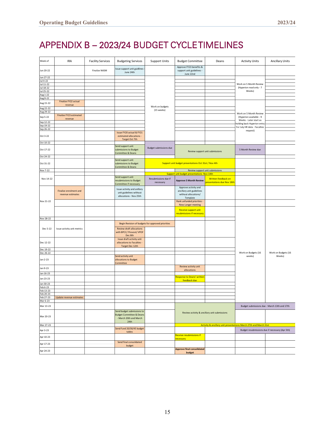# <span id="page-15-0"></span>APPENDIX B – 2023/24 BUDGET CYCLE TIMELINES

| Week of   | IRA                                         | <b>Facility Services</b> | <b>Budgeting Services</b>                                                                   | <b>Support Units</b>              | <b>Budget Committee</b>                                                               | Deans                                                             | <b>Activity Units</b>        | <b>Ancillary Units</b>                          |
|-----------|---------------------------------------------|--------------------------|---------------------------------------------------------------------------------------------|-----------------------------------|---------------------------------------------------------------------------------------|-------------------------------------------------------------------|------------------------------|-------------------------------------------------|
| Jun 20-22 |                                             | <b>Finalize NASM</b>     | Issue support unit guidlines<br>June 24th                                                   |                                   | Approve FY23 benefits &<br>support unit guidelines -<br>June 22nd                     |                                                                   |                              |                                                 |
| Jun 27-22 |                                             |                          |                                                                                             |                                   |                                                                                       |                                                                   |                              |                                                 |
| Jul 4-22  |                                             |                          |                                                                                             |                                   |                                                                                       |                                                                   |                              |                                                 |
| Jul 11-22 |                                             |                          |                                                                                             |                                   |                                                                                       |                                                                   | Work on 5 Month Review       |                                                 |
| Jul 18-22 |                                             |                          |                                                                                             |                                   |                                                                                       |                                                                   | (Hyperion read only - 7      |                                                 |
| Jul 25-22 |                                             |                          |                                                                                             |                                   |                                                                                       |                                                                   | Weeks)                       |                                                 |
| Aug 1-22  |                                             |                          |                                                                                             |                                   |                                                                                       |                                                                   |                              |                                                 |
| Aug 8-22  |                                             |                          |                                                                                             |                                   |                                                                                       |                                                                   |                              |                                                 |
| Aug 15-22 | Finalize FY22 actual                        |                          |                                                                                             |                                   |                                                                                       |                                                                   |                              |                                                 |
| Aug 22-22 | revenue                                     |                          |                                                                                             | Work on budgets                   |                                                                                       |                                                                   |                              |                                                 |
| Aug 29-22 |                                             |                          |                                                                                             | (15 weeks)                        |                                                                                       |                                                                   |                              |                                                 |
|           | Finalize FY23 estimated                     |                          |                                                                                             |                                   |                                                                                       |                                                                   | Work on 5 Month Review       |                                                 |
| Sep 5-22  | revenue                                     |                          |                                                                                             |                                   |                                                                                       |                                                                   | (Hyperion available - 9      |                                                 |
| Sep 12-22 |                                             |                          |                                                                                             |                                   |                                                                                       |                                                                   | Weeks - Later start as       |                                                 |
| Sep 19-22 |                                             |                          |                                                                                             |                                   |                                                                                       |                                                                   | holding back Hyperion entry  |                                                 |
| Sep 26-22 |                                             |                          |                                                                                             |                                   |                                                                                       |                                                                   | For July HR data - Faculties |                                                 |
| Oct 3-22  |                                             |                          | Issue FY20 actual & FY21<br>estimated allocations -<br>Target Oct 7th                       |                                   |                                                                                       |                                                                   | request)                     |                                                 |
| Oct 10-22 |                                             |                          |                                                                                             |                                   |                                                                                       |                                                                   |                              |                                                 |
| Oct 17-22 |                                             |                          | Send support unit<br>submissions to Budget<br>Committee & Deans                             | <b>Budget submissions due</b>     |                                                                                       | Review support unit submissions                                   | 5 Month Review due           |                                                 |
| Oct 24-22 |                                             |                          |                                                                                             |                                   |                                                                                       |                                                                   |                              |                                                 |
| Oct 31-22 |                                             |                          | Send support unit<br>submissions to Budget<br>Committee & Deans                             |                                   | Support unit budget presentations Oct 31st / Nov 4th                                  |                                                                   |                              |                                                 |
| Nov 7-22  |                                             |                          |                                                                                             |                                   |                                                                                       | Review support unit submissions                                   |                              |                                                 |
|           |                                             |                          |                                                                                             |                                   | Support unit budget presentations Nov 14th                                            |                                                                   |                              |                                                 |
| Nov 14-22 |                                             |                          | Send support unit<br>resubmissions to Budget<br>Committee if necessary                      | Resubmissions due if<br>necessary | <b>Approve 5 Month Review</b>                                                         | Written feedback on<br>presentations due Nov 18th                 |                              |                                                 |
|           | Finalize enrolment and<br>revenue estimates |                          | Issue activity and anillary<br>unit guidelines without<br>allocations - Nov 25th            |                                   | Approve activity and<br>ancillary unit guidelines<br>without allocations/<br>Template |                                                                   |                              |                                                 |
| Nov 21-22 |                                             |                          |                                                                                             |                                   | Rank unfunded priorities -                                                            |                                                                   |                              |                                                 |
|           |                                             |                          |                                                                                             |                                   | New Longer meeting                                                                    |                                                                   |                              |                                                 |
|           |                                             |                          |                                                                                             |                                   | Receive support unit<br>resubmissions if necessary                                    |                                                                   |                              |                                                 |
| Nov 28-22 |                                             |                          |                                                                                             |                                   |                                                                                       |                                                                   |                              |                                                 |
|           |                                             |                          | Begin Revision of budgets for approved priorities                                           |                                   |                                                                                       |                                                                   |                              |                                                 |
| Dec 5-22  | Issue activity unit metrics                 |                          | <b>Review draft allocations</b><br>with BPCC/ Provost/ VPOF<br>Dec 8th                      |                                   |                                                                                       |                                                                   |                              |                                                 |
| Dec 12-22 |                                             |                          | Issue draft activity unit<br>allocations to Faculties -<br>Target Dec 12th                  |                                   |                                                                                       |                                                                   |                              |                                                 |
| Dec 19-22 |                                             |                          |                                                                                             |                                   |                                                                                       |                                                                   |                              |                                                 |
| Dec 26-22 |                                             |                          |                                                                                             |                                   |                                                                                       |                                                                   | Work on Budgets (16          | Work on Budgets (16                             |
| Jan 2-23  |                                             |                          | Send activity unit<br>allocations to Budget<br>Committee                                    |                                   |                                                                                       |                                                                   | weeks)                       | Weeks)                                          |
| Jan 9-23  |                                             |                          |                                                                                             |                                   | Review activity unit                                                                  |                                                                   |                              |                                                 |
| Jan 16-23 |                                             |                          |                                                                                             |                                   | allocations                                                                           |                                                                   |                              |                                                 |
|           |                                             |                          |                                                                                             |                                   | Response to Deans' written                                                            |                                                                   |                              |                                                 |
| Jan 23-23 |                                             |                          |                                                                                             |                                   | feedback due                                                                          |                                                                   |                              |                                                 |
| Jan 30-23 |                                             |                          |                                                                                             |                                   |                                                                                       |                                                                   |                              |                                                 |
| Feb 6-23  |                                             |                          |                                                                                             |                                   |                                                                                       |                                                                   |                              |                                                 |
| Feb 13-23 |                                             |                          |                                                                                             |                                   |                                                                                       |                                                                   |                              |                                                 |
| Feb 20-23 |                                             |                          |                                                                                             |                                   |                                                                                       |                                                                   |                              |                                                 |
| Feb 27-23 | Update revenue estimates                    |                          |                                                                                             |                                   |                                                                                       |                                                                   |                              |                                                 |
| Mar 6-23  |                                             |                          |                                                                                             |                                   |                                                                                       |                                                                   |                              |                                                 |
| Mar 13-23 |                                             |                          |                                                                                             |                                   |                                                                                       |                                                                   |                              | Budget submissions due - March 13th and 17th    |
| Mar 20-23 |                                             |                          | Send budget submissions to<br><b>Budget Committee &amp; Deans</b><br>- March 20th and March |                                   |                                                                                       | Review activity & ancillary unit submissions                      |                              |                                                 |
| Mar 27-23 |                                             |                          | 24th                                                                                        |                                   |                                                                                       | Activity & ancillary unit presentations March 27th and March 31st |                              |                                                 |
|           |                                             |                          | Send Fund 20/30/45 budget                                                                   |                                   |                                                                                       |                                                                   |                              |                                                 |
| Apr 3-23  |                                             |                          | tables                                                                                      |                                   |                                                                                       |                                                                   |                              | Budget resubmissions due if necessary (Apr 5th) |
| Apr 10-23 |                                             |                          |                                                                                             |                                   | Receive resubmissions if<br>necessary                                                 |                                                                   |                              |                                                 |
| Apr 17-23 |                                             |                          | Send final consolidated                                                                     |                                   |                                                                                       |                                                                   |                              |                                                 |
|           |                                             |                          | budget                                                                                      |                                   | <b>Approve final consolidated</b>                                                     |                                                                   |                              |                                                 |
| Apr 24-23 |                                             |                          |                                                                                             |                                   | budget                                                                                |                                                                   |                              |                                                 |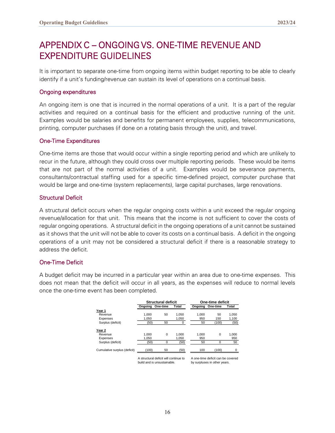# <span id="page-16-0"></span>APPENDIX C – ONGOING VS. ONE-TIME REVENUE AND EXPENDITURE GUIDELINES

It is important to separate one-time from ongoing items within budget reporting to be able to clearly identify if a unit's funding/revenue can sustain its level of operations on a continual basis.

#### Ongoing expenditures

An ongoing item is one that is incurred in the normal operations of a unit. It is a part of the regular activities and required on a continual basis for the efficient and productive running of the unit. Examples would be salaries and benefits for permanent employees, supplies, telecommunications, printing, computer purchases (if done on a rotating basis through the unit), and travel.

#### One-Time Expenditures

One-time items are those that would occur within a single reporting period and which are unlikely to recur in the future, although they could cross over multiple reporting periods. These would be items that are not part of the normal activities of a unit. Examples would be severance payments, consultants/contractual staffing used for a specific time-defined project, computer purchase that would be large and one-time (system replacements), large capital purchases, large renovations.

#### Structural Deficit

A structural deficit occurs when the regular ongoing costs within a unit exceed the regular ongoing revenue/allocation for that unit. This means that the income is not sufficient to cover the costs of regular ongoing operations. A structural deficit in the ongoing operations of a unit cannot be sustained as it shows that the unit will not be able to cover its costs on a continual basis. A deficit in the ongoing operations of a unit may not be considered a structural deficit if there is a reasonable strategy to address the deficit.

#### One-Time Deficit

A budget deficit may be incurred in a particular year within an area due to one-time expenses. This does not mean that the deficit will occur in all years, as the expenses will reduce to normal levels once the one-time event has been completed.

|                              |       | Structural deficit                                                   |              |       | One-time deficit                                                  |       |
|------------------------------|-------|----------------------------------------------------------------------|--------------|-------|-------------------------------------------------------------------|-------|
|                              |       | Ongoing One-time                                                     | <b>Total</b> |       | Ongoing One-time                                                  | Total |
| Year 1                       |       |                                                                      |              |       |                                                                   |       |
| Revenue                      | 1.000 | 50                                                                   | 1.050        | 1.000 | 50                                                                | 1.050 |
| Expenses                     | 1.050 |                                                                      | 1,050        | 950   | 150                                                               | 1,100 |
| Surplus (deficit)            | (50)  | 50                                                                   | 0            | 50    | (100)                                                             | (50)  |
| Year 2                       |       |                                                                      |              |       |                                                                   |       |
| Revenue                      | 1.000 | $\Omega$                                                             | 1.000        | 1.000 | $\Omega$                                                          | 1,000 |
| Expenses                     | 1.050 |                                                                      | 1.050        | 950   |                                                                   | 950   |
| Surplus (deficit)            | (50)  | 0                                                                    | (50)         | 50    | 0                                                                 | 50    |
| Cumulative surplus (deficit) | (100) | 50                                                                   | (50)         | 100   | (100)                                                             |       |
|                              |       | A structural deficit will continue to<br>build and is unsustainable. |              |       | A one-time deficit can be covered<br>by surpluses in other years. |       |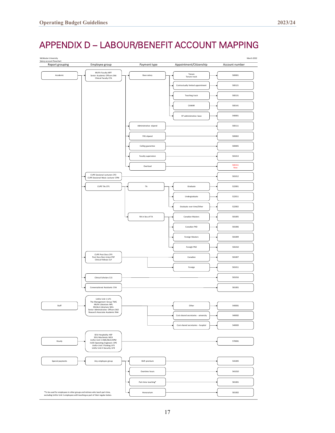# <span id="page-17-0"></span>APPENDIX D – LABOUR/BENEFIT ACCOUNT MAPPING

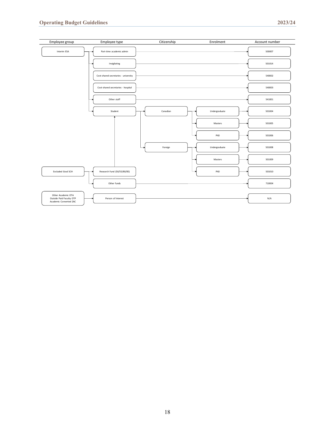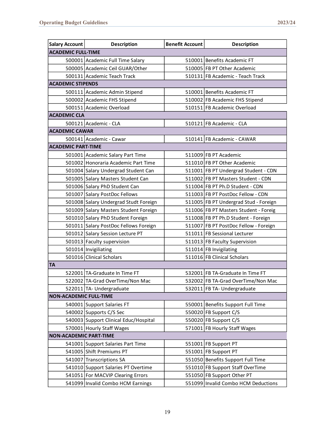| <b>Salary Account</b>         | <b>Description</b>                    | <b>Benefit Account</b> | <b>Description</b>                    |
|-------------------------------|---------------------------------------|------------------------|---------------------------------------|
| <b>ACADEMIC FULL-TIME</b>     |                                       |                        |                                       |
|                               | 500001 Academic Full Time Salary      |                        | 510001 Benefits Academic FT           |
|                               | 500005 Academic Ceil GUAR/Other       |                        | 510005 FB PT Other Academic           |
|                               | 500131 Academic Teach Track           |                        | 510131 FB Academic - Teach Track      |
| <b>ACADEMIC STIPENDS</b>      |                                       |                        |                                       |
|                               | 500111 Academic Admin Stipend         |                        | 510001 Benefits Academic FT           |
|                               | 500002 Academic FHS Stipend           |                        | 510002 FB Academic FHS Stipend        |
|                               | 500151 Academic Overload              |                        | 510151 FB Academic Overload           |
| <b>ACADEMIC CLA</b>           |                                       |                        |                                       |
|                               | 500121 Academic - CLA                 |                        | 510121 FB Academic - CLA              |
| <b>ACADEMIC CAWAR</b>         |                                       |                        |                                       |
|                               | 500141 Academic - Cawar               |                        | 510141 FB Academic - CAWAR            |
| <b>ACADEMIC PART-TIME</b>     |                                       |                        |                                       |
|                               | 501001 Academic Salary Part Time      |                        | 511009 FB PT Academic                 |
|                               | 501002 Honoraria Academic Part Time   |                        | 511010 FB PT Other Academic           |
|                               | 501004 Salary Undergrad Student Can   |                        | 511001 FB PT Undergrad Student - CDN  |
|                               | 501005 Salary Masters Student Can     |                        | 511002 FB PT Masters Student - CDN    |
|                               | 501006 Salary PhD Student Can         |                        | 511004 FB PT Ph.D Student - CDN       |
|                               | 501007 Salary PostDoc Fellows         |                        | 511003 FB PT PostDoc Fellow - CDN     |
|                               | 501008 Salary Undergrad Studt Foreign |                        | 511005 FB PT Undergrad Stud - Foreign |
|                               | 501009 Salary Masters Student Foreign |                        | 511006 FB PT Masters Student - Foreig |
|                               | 501010 Salary PhD Student Foreign     |                        | 511008 FB PT Ph.D Student - Foreign   |
|                               | 501011 Salary PostDoc Fellows Foreign |                        | 511007 FB PT PostDoc Fellow - Foreign |
|                               | 501012 Salary Session Lecture PT      |                        | 511011 FB Sessional Lecturer          |
|                               | 501013 Faculty supervision            |                        | 511013 FB Faculty Supervision         |
|                               | 501014 Invigiliating                  |                        | 511014 FB Invigilating                |
|                               | 501016 Clinical Scholars              |                        | 511016 FB Clinical Scholars           |
| <b>TA</b>                     |                                       |                        |                                       |
|                               | 522001 TA-Graduate In Time FT         |                        | 532001 FB TA-Graduate In Time FT      |
|                               | 522002 TA-Grad OverTime/Non Mac       |                        | 532002 FB TA-Grad OverTime/Non Mac    |
|                               | 522011 TA-Undergraduate               |                        | 532011 FB TA- Undergraduate           |
| <b>NON-ACADEMIC FULL-TIME</b> |                                       |                        |                                       |
|                               | 540001 Support Salaries FT            |                        | 550001 Benefits Support Full Time     |
|                               | 540002 Supports C/S Sec               |                        | 550020 FB Support C/S                 |
|                               | 540003 Support Clinical Educ/Hospital |                        | 550020 FB Support C/S                 |
|                               | 570001 Hourly Staff Wages             |                        | 571001 FB Hourly Staff Wages          |
| <b>NON-ACADEMIC PART-TIME</b> |                                       |                        |                                       |
|                               | 541001 Support Salaries Part Time     |                        | 551001 FB Support PT                  |
|                               | 541005 Shift Premiums PT              |                        | 551001 FB Support PT                  |
|                               | 541007 Transcriptions SA              |                        | 551050 Benefits Support Full Time     |
|                               | 541010 Support Salaries PT Overtime   |                        | 551010 FB Support Staff OverTime      |
|                               | 541051 For MACVIP Clearing Errors     |                        | 551050 FB Support Other PT            |
|                               | 541099 Invalid Combo HCM Earnings     |                        | 551099 Invalid Combo HCM Deductions   |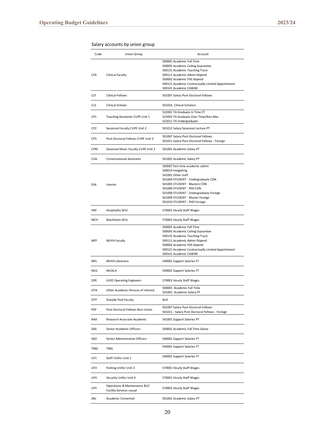| Code            | Union Group                         | Account                                                                                |
|-----------------|-------------------------------------|----------------------------------------------------------------------------------------|
|                 |                                     | 500001 Academic Full Time                                                              |
|                 |                                     | 500005 Academic Ceiling Guarantee                                                      |
|                 |                                     | 500131 Academic Teaching Track                                                         |
| <b>CFA</b>      | Clinical Faculty                    | 500111 Academic Admin Stipend                                                          |
|                 |                                     | 500002 Academic FHS Stipend                                                            |
|                 |                                     | 500121 Academic Contractually Limited Appointment                                      |
|                 |                                     | 500141 Academic CAWAR                                                                  |
| CLF             | Clinical Fellows                    | 501007 Salary Post-Doctoral Fellows                                                    |
| <b>CLS</b>      | Clinical Scholar                    | 501016 Clinical Scholars                                                               |
|                 |                                     | 522001 TA Graduate In Time FT                                                          |
| CP1             | Teaching Assistants CUPE Unit 1     | 522002 TA Graduate Over Time/Non Mac                                                   |
|                 |                                     | 522011 TA Undergraduate                                                                |
| CP <sub>2</sub> | Sessional Faculty CUPE Unit 2       | 501012 Salary Sessional Lecture PT                                                     |
| CP3             | Post-Doctoral Fellows CUPE Unit 3   | 501007 Salary Post-Doctoral Fellows                                                    |
|                 |                                     | 501011 Salary Post-Doctoral Fellows - Foreign                                          |
| CPM             | Sessional Music Faculty CUPE Unit 2 | 501001 Academic Salary PT                                                              |
| <b>CVA</b>      | <b>Conversational Assistants</b>    | 501001 Academic Salary PT                                                              |
|                 |                                     | 500007 Part time academic admin                                                        |
|                 |                                     | 500014 Inviglating                                                                     |
|                 |                                     | 541001 Other staff                                                                     |
|                 |                                     | 501004 STUDENT - Undergraduate CDN                                                     |
| ESA             | Interim                             | 501005 STUDENT - Masters CDN                                                           |
|                 |                                     | 501006 STUDENT - PhD CDN                                                               |
|                 |                                     | 501008 STUDENT - Undergraduate Foreign                                                 |
|                 |                                     | 501009 STUDENT - Master Foreign                                                        |
|                 |                                     | 501010 STUDENT - PHD Foreign                                                           |
| HSP             | Hospitality SEIU                    | 570001 Hourly Staff Wages                                                              |
| MCH             | Machinists SEIU                     | 570001 Hourly Staff Wages                                                              |
|                 |                                     | 500001 Academic Full Time                                                              |
|                 |                                     | 500005 Academic Ceiling Guarantee                                                      |
|                 |                                     | 500131 Academic Teaching Track                                                         |
| MFF             | <b>MUFA Faculty</b>                 | 500111 Academic Admin Stipend                                                          |
|                 |                                     | 500002 Academic FHS Stipend                                                            |
|                 |                                     | 500121 Academic Contractually Limited Appointment                                      |
|                 |                                     | 500141 Academic CAWAR                                                                  |
| MFL             | <b>MUFA Librarians</b>              | 540001 Support Salaries FT                                                             |
| MUL             | MUALA                               | 540001 Support Salaries FT                                                             |
| OPE             | <b>IUOE Operating Engineers</b>     | 570001 Hourly Staff Wages                                                              |
|                 |                                     | 500001 Academic Full Time                                                              |
| <b>OTA</b>      | Other Academic Persons of Interest  | 501001 Academic Salary PT                                                              |
| OTP             | Outside Paid Faculty                | N/A                                                                                    |
| PDF             | Post-Doctoral Fellows Non-Union     | 501007 Salary Post-Doctoral Fellows<br>501011 - Salary Post-Doctoral Fellows - Foreign |
| RAA             | Research Associate Academic         | 541001 Support Salaries PT                                                             |
| SAA             | Senior Academic Officers            | 500001 Academic Full Time Salary                                                       |
| SAO             | Senior Administrative Officers      | 540001 Support Salaries FT                                                             |
| TMG             | <b>TMG</b>                          | 540001 Support Salaries FT                                                             |
| UF1             | Staff Unifor Unit 1                 | 540001 Support Salaries FT                                                             |
| UF3             | Parking Unifor Unit 3               | 570001 Hourly Staff Wages                                                              |
| UF4             | Security Unifor Unit 4              | 570001 Hourly Staff Wages                                                              |
| UF5             | Operations & Maintenance BUC        | 570001 Hourly Staff Wages                                                              |
|                 | Facility Services casual            |                                                                                        |
| ZAC             | Academic Converted                  | 501001 Academic Salary PT                                                              |

Salary accounts by union group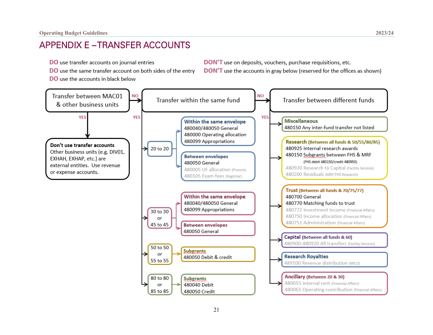## APPENDIX E – TRANSFER ACCOUNTS

- **DO** use transfer accounts on journal entries
- DO use the same transfer account on both sides of the entry
- **DO** use the accounts in black below

DON'T use on deposits, vouchers, purchase requisitions, etc. DON'T use the accounts in gray below (reserved for the offices as shown)

<span id="page-21-0"></span>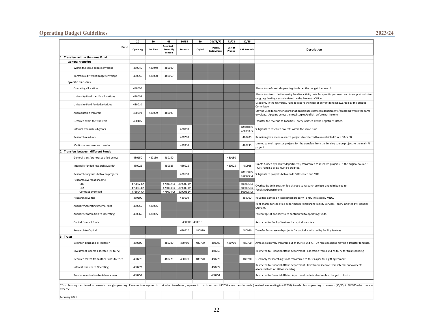#### **Operating Budget Guidelines 2023/24**

| Specifically<br>Fund:<br>Trusts &<br>Cost of<br>Operating<br>Ancillary<br>Externally<br>Research<br>Capital<br><b>FHS Research</b><br>Description<br><b>Endowments</b><br>Practice<br>Funded<br>1. Transfers within the same Fund<br><b>General transfers</b><br>480040<br>480040<br>480040<br>Within the same budget envelope<br>480050<br>480050<br>To/from a different budget envelope<br>480050<br><b>Specific transfers</b><br>480000<br>Operating allocation<br>Allocations of central operating funds per the budget framework.<br>Allocations from the University Fund to activity units for specific purposes, and to support units for<br>University Fund specific allocations<br>480005<br>on-going funding - entry initiated by the Provost's Office.<br>Used only in the University Fund to record the total of current funding awarded by the Budget<br>University Fund funded priorities<br>480010<br>Committee.<br>May be used to transfer appropriation balances between departments/programs within the same<br>480099<br>480099<br>Appropriation transfers<br>480099<br>envelope. Appears below the total surplus/deficit, before net income.<br>Deferred exam fee transfers<br>480105<br>Transfer fee revenue to Faculties - entry initiated by the Registrar's Office. |  |  |  |  |  |  |
|---------------------------------------------------------------------------------------------------------------------------------------------------------------------------------------------------------------------------------------------------------------------------------------------------------------------------------------------------------------------------------------------------------------------------------------------------------------------------------------------------------------------------------------------------------------------------------------------------------------------------------------------------------------------------------------------------------------------------------------------------------------------------------------------------------------------------------------------------------------------------------------------------------------------------------------------------------------------------------------------------------------------------------------------------------------------------------------------------------------------------------------------------------------------------------------------------------------------------------------------------------------------------------------------|--|--|--|--|--|--|
|                                                                                                                                                                                                                                                                                                                                                                                                                                                                                                                                                                                                                                                                                                                                                                                                                                                                                                                                                                                                                                                                                                                                                                                                                                                                                             |  |  |  |  |  |  |
|                                                                                                                                                                                                                                                                                                                                                                                                                                                                                                                                                                                                                                                                                                                                                                                                                                                                                                                                                                                                                                                                                                                                                                                                                                                                                             |  |  |  |  |  |  |
|                                                                                                                                                                                                                                                                                                                                                                                                                                                                                                                                                                                                                                                                                                                                                                                                                                                                                                                                                                                                                                                                                                                                                                                                                                                                                             |  |  |  |  |  |  |
|                                                                                                                                                                                                                                                                                                                                                                                                                                                                                                                                                                                                                                                                                                                                                                                                                                                                                                                                                                                                                                                                                                                                                                                                                                                                                             |  |  |  |  |  |  |
|                                                                                                                                                                                                                                                                                                                                                                                                                                                                                                                                                                                                                                                                                                                                                                                                                                                                                                                                                                                                                                                                                                                                                                                                                                                                                             |  |  |  |  |  |  |
|                                                                                                                                                                                                                                                                                                                                                                                                                                                                                                                                                                                                                                                                                                                                                                                                                                                                                                                                                                                                                                                                                                                                                                                                                                                                                             |  |  |  |  |  |  |
|                                                                                                                                                                                                                                                                                                                                                                                                                                                                                                                                                                                                                                                                                                                                                                                                                                                                                                                                                                                                                                                                                                                                                                                                                                                                                             |  |  |  |  |  |  |
|                                                                                                                                                                                                                                                                                                                                                                                                                                                                                                                                                                                                                                                                                                                                                                                                                                                                                                                                                                                                                                                                                                                                                                                                                                                                                             |  |  |  |  |  |  |
|                                                                                                                                                                                                                                                                                                                                                                                                                                                                                                                                                                                                                                                                                                                                                                                                                                                                                                                                                                                                                                                                                                                                                                                                                                                                                             |  |  |  |  |  |  |
|                                                                                                                                                                                                                                                                                                                                                                                                                                                                                                                                                                                                                                                                                                                                                                                                                                                                                                                                                                                                                                                                                                                                                                                                                                                                                             |  |  |  |  |  |  |
|                                                                                                                                                                                                                                                                                                                                                                                                                                                                                                                                                                                                                                                                                                                                                                                                                                                                                                                                                                                                                                                                                                                                                                                                                                                                                             |  |  |  |  |  |  |
| 480040 Dr<br>Internal research subgrants<br>480050<br>Subgrants to research projects within the same Fund.<br>480050 Cr                                                                                                                                                                                                                                                                                                                                                                                                                                                                                                                                                                                                                                                                                                                                                                                                                                                                                                                                                                                                                                                                                                                                                                     |  |  |  |  |  |  |
| Research residuals<br>480200<br>480200<br>Remaining balance in research projects transferred to unrestricted Funds 50 or 80.                                                                                                                                                                                                                                                                                                                                                                                                                                                                                                                                                                                                                                                                                                                                                                                                                                                                                                                                                                                                                                                                                                                                                                |  |  |  |  |  |  |
| Limited to multi sponsor projects for the transfers from the funding source project to the main PI<br>480930<br>Multi sponsor revenue transfer<br>480930<br>project                                                                                                                                                                                                                                                                                                                                                                                                                                                                                                                                                                                                                                                                                                                                                                                                                                                                                                                                                                                                                                                                                                                         |  |  |  |  |  |  |
| 2. Transfers between different Funds                                                                                                                                                                                                                                                                                                                                                                                                                                                                                                                                                                                                                                                                                                                                                                                                                                                                                                                                                                                                                                                                                                                                                                                                                                                        |  |  |  |  |  |  |
| General transfers not specified below<br>480150<br>480150<br>480150<br>480150                                                                                                                                                                                                                                                                                                                                                                                                                                                                                                                                                                                                                                                                                                                                                                                                                                                                                                                                                                                                                                                                                                                                                                                                               |  |  |  |  |  |  |
| Grants funded by Faculty departments, transferred to research projects. If the original source is<br>480925<br>480925<br>Internally funded research awards*<br>480925<br>480925<br>480925<br>Trust, Fund 55 or 85 must be credited.                                                                                                                                                                                                                                                                                                                                                                                                                                                                                                                                                                                                                                                                                                                                                                                                                                                                                                                                                                                                                                                         |  |  |  |  |  |  |
| 480150 Dr<br>480150<br>Research subgrants between projects<br>Subgrants to projects between FHS Research and MRF.<br>480950 Cr                                                                                                                                                                                                                                                                                                                                                                                                                                                                                                                                                                                                                                                                                                                                                                                                                                                                                                                                                                                                                                                                                                                                                              |  |  |  |  |  |  |
| Research overhead income                                                                                                                                                                                                                                                                                                                                                                                                                                                                                                                                                                                                                                                                                                                                                                                                                                                                                                                                                                                                                                                                                                                                                                                                                                                                    |  |  |  |  |  |  |
| CRC<br>475002 Cr<br>475002 Cr<br>809005 Dr<br>809005 Dr<br>Overhead/administration fee charged to research projects and reimbursed to                                                                                                                                                                                                                                                                                                                                                                                                                                                                                                                                                                                                                                                                                                                                                                                                                                                                                                                                                                                                                                                                                                                                                       |  |  |  |  |  |  |
| ERA<br>475003 Cr<br>475003 Cr<br>809005 Dr<br>809005 Dr<br>Faculties/Departments.                                                                                                                                                                                                                                                                                                                                                                                                                                                                                                                                                                                                                                                                                                                                                                                                                                                                                                                                                                                                                                                                                                                                                                                                           |  |  |  |  |  |  |
| Contract overhead<br>475004 Cr<br>475004 Cr<br>809005 Dr<br>809005 Dr                                                                                                                                                                                                                                                                                                                                                                                                                                                                                                                                                                                                                                                                                                                                                                                                                                                                                                                                                                                                                                                                                                                                                                                                                       |  |  |  |  |  |  |
| 489100<br>489100<br>489100<br>Royalties earned on intellectual property - entry initiated by MILO.<br>Research royalties                                                                                                                                                                                                                                                                                                                                                                                                                                                                                                                                                                                                                                                                                                                                                                                                                                                                                                                                                                                                                                                                                                                                                                    |  |  |  |  |  |  |
| Rent charge for specified departments reimbursing Facility Services - entry initiated by Financial<br>Ancillary/Operating internal rent<br>480055<br>480055<br>Services.                                                                                                                                                                                                                                                                                                                                                                                                                                                                                                                                                                                                                                                                                                                                                                                                                                                                                                                                                                                                                                                                                                                    |  |  |  |  |  |  |
| 480065<br>480065<br>Ancillary contribution to Operating<br>Percentage of ancillary sales contributed to operating funds.                                                                                                                                                                                                                                                                                                                                                                                                                                                                                                                                                                                                                                                                                                                                                                                                                                                                                                                                                                                                                                                                                                                                                                    |  |  |  |  |  |  |
| 480900 - 480910<br>Capital from all Funds<br>Restricted to Facility Services for capital transfers.                                                                                                                                                                                                                                                                                                                                                                                                                                                                                                                                                                                                                                                                                                                                                                                                                                                                                                                                                                                                                                                                                                                                                                                         |  |  |  |  |  |  |
| Research to Capital<br>480920<br>480920<br>480920<br>Transfer from research projects for capital - initiated by Facility Services.                                                                                                                                                                                                                                                                                                                                                                                                                                                                                                                                                                                                                                                                                                                                                                                                                                                                                                                                                                                                                                                                                                                                                          |  |  |  |  |  |  |
| 3. Trusts                                                                                                                                                                                                                                                                                                                                                                                                                                                                                                                                                                                                                                                                                                                                                                                                                                                                                                                                                                                                                                                                                                                                                                                                                                                                                   |  |  |  |  |  |  |
| 480700<br>480700<br>480700<br>480700<br>480700<br>480700<br>480700<br>Almost exclusively transfers out of trusts Fund 77. On rare occasions may be a transfer to trusts.<br>Between Trust and all ledgers*                                                                                                                                                                                                                                                                                                                                                                                                                                                                                                                                                                                                                                                                                                                                                                                                                                                                                                                                                                                                                                                                                  |  |  |  |  |  |  |
| 480750<br>Investment income allocated (75 to 77)<br>Restricted to Financial Affairs department - allocation from Fund 75 to 77 for trust spending.                                                                                                                                                                                                                                                                                                                                                                                                                                                                                                                                                                                                                                                                                                                                                                                                                                                                                                                                                                                                                                                                                                                                          |  |  |  |  |  |  |
| 480770<br>480770<br>480770<br>480770<br>480770<br>Required match from other Funds to Trust<br>480770<br>Used only for matching funds transferred to trust as per trust gift agreement.                                                                                                                                                                                                                                                                                                                                                                                                                                                                                                                                                                                                                                                                                                                                                                                                                                                                                                                                                                                                                                                                                                      |  |  |  |  |  |  |
| Restricted to Financial Affairs department - Investment income from internal endowments<br>Interest transfer to Operating<br>480772<br>480772<br>allocated to Fund 20 for spending.                                                                                                                                                                                                                                                                                                                                                                                                                                                                                                                                                                                                                                                                                                                                                                                                                                                                                                                                                                                                                                                                                                         |  |  |  |  |  |  |
| 480751<br>480751<br>Trust administration to Advancement<br>Restricted to Financial Affairs department - administration fee charged to trusts.                                                                                                                                                                                                                                                                                                                                                                                                                                                                                                                                                                                                                                                                                                                                                                                                                                                                                                                                                                                                                                                                                                                                               |  |  |  |  |  |  |
| *Trust funding transferred to research through operating: Revenue is recognized in trust when transferred, expense in trust in account 480700 when transfer made (received in operating in 480700), transfer from operating to<br>expense                                                                                                                                                                                                                                                                                                                                                                                                                                                                                                                                                                                                                                                                                                                                                                                                                                                                                                                                                                                                                                                   |  |  |  |  |  |  |
| February 2021                                                                                                                                                                                                                                                                                                                                                                                                                                                                                                                                                                                                                                                                                                                                                                                                                                                                                                                                                                                                                                                                                                                                                                                                                                                                               |  |  |  |  |  |  |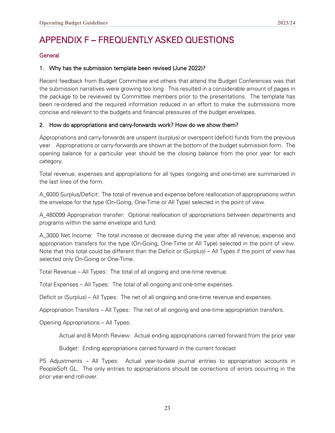# <span id="page-23-0"></span>APPENDIX F – FREQUENTLY ASKED QUESTIONS

#### General

#### 1. Why has the submission template been revised (June 2022)?

Recent feedback from Budget Committee and others that attend the Budget Conferences was that the submission narratives were growing too long. This resulted in a considerable amount of pages in the package to be reviewed by Committee members prior to the presentations. The template has been re-ordered and the required information reduced in an effort to make the submissions more concise and relevant to the budgets and financial pressures of the budget envelopes.

#### 2. How do appropriations and carry-forwards work? How do we show them?

Appropriations and carry-forwards are unspent (surplus) or overspent (deficit) funds from the previous year. Appropriations or carry-forwards are shown at the bottom of the budget submission form. The opening balance for a particular year should be the closing balance from the prior year for each category.

Total revenue, expenses and appropriations for all types (ongoing and one-time) are summarized in the last lines of the form.

A\_6000 Surplus/Deficit: The total of revenue and expense before reallocation of appropriations within the envelope for the type (On-Going, One-Time or All Type) selected in the point of view.

A\_480099 Appropriation transfer: Optional reallocation of appropriations between departments and programs within the same envelope and fund.

A\_3000 Net Income: The total increase or decrease during the year after all revenue, expense and appropriation transfers for the type (On-Going, One-Time or All Type) selected in the point of view. Note that this total could be different than the Deficit or (Surplus) – All Types if the point of view has selected only On-Going or One-Time.

Total Revenue – All Types: The total of all ongoing and one-time revenue.

Total Expenses – All Types: The total of all ongoing and one-time expenses.

Deficit or (Surplus) – All Types: The net of all ongoing and one-time revenue and expenses.

Appropriation Transfers – All Types: The net of all ongoing and one-time appropriation transfers.

Opening Appropriations – All Types:

Actual and 8 Month Review: Actual ending appropriations carried forward from the prior year

Budget: Ending appropriations carried forward in the current forecast

PS Adjustments – All Types: Actual year-to-date journal entries to appropriation accounts in PeopleSoft GL. The only entries to appropriations should be corrections of errors occurring in the prior year-end roll-over.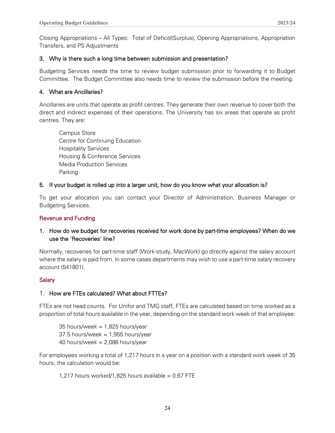Closing Appropriations – All Types: Total of Deficit/(Surplus), Opening Appropriations, Appropriation Transfers, and PS Adjustments

#### 3. Why is there such a long time between submission and presentation?

Budgeting Services needs the time to review budget submission prior to forwarding it to Budget Committee. The Budget Committee also needs time to review the submission before the meeting.

#### 4. What are Ancillaries?

Ancillaries are units that operate as profit centres. They generate their own revenue to cover both the direct and indirect expenses of their operations. The University has six areas that operate as profit centres. They are:

Campus Store Centre for Continuing Education Hospitality Services Housing & Conference Services Media Production Services Parking

#### 5. If your budget is rolled up into a larger unit, how do you know what your allocation is?

To get your allocation you can contact your Director of Administration, Business Manager or Budgeting Services.

#### Revenue and Funding

#### 1. How do we budget for recoveries received for work done by part-time employees? When do we use the 'Recoveries' line?

Normally, recoveries for part-time staff (Work-study, MacWork) go directly against the salary account where the salary is paid from. In some cases departments may wish to use a part-time salary recovery account (541801).

#### **Salary**

#### 1. How are FTEs calculated? What about FTTEs?

FTEs are not head counts. For Unifor and TMG staff, FTEs are calculated based on time worked as a proportion of total hours available in the year, depending on the standard work week of that employee:

35 hours/week =  $1,825$  hours/year  $37.5$  hours/week = 1,955 hours/year 40 hours/week =  $2,086$  hours/year

For employees working a total of 1,217 hours in a year on a position with a standard work week of 35 hours, the calculation would be:

1,217 hours worked/1,825 hours available =  $0.67$  FTE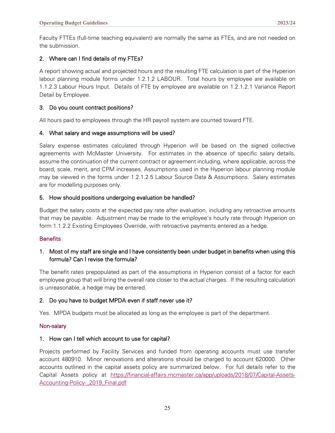Faculty FTTEs (full-time teaching equivalent) are normally the same as FTEs, and are not needed on the submission.

#### 2. Where can I find details of my FTEs?

A report showing actual and projected hours and the resulting FTE calculation is part of the Hyperion labour planning module forms under 1.2.1.2 LABOUR. Total hours by employee are available on 1.1.2.3 Labour Hours Input. Details of FTE by employee are available on 1.2.1.2.1 Variance Report Detail by Employee.

#### 3. Do you count contract positions?

All hours paid to employees through the HR payroll system are counted toward FTE.

#### 4. What salary and wage assumptions will be used?

Salary expense estimates calculated through Hyperion will be based on the signed collective agreements with McMaster University. For estimates in the absence of specific salary details, assume the continuation of the current contract or agreement including, where applicable, across the board, scale, merit, and CPM increases. Assumptions used in the Hyperion labour planning module may be viewed in the forms under 1.2.1.2.5 Labour Source Data & Assumptions. Salary estimates are for modelling purposes only.

#### 5. How should positions undergoing evaluation be handled?

Budget the salary costs at the expected pay rate after evaluation, including any retroactive amounts that may be payable. Adjustment may be made to the employee's hourly rate through Hyperion on form 1.1.2.2 Existing Employees Override, with retroactive payments entered as a hedge.

#### **Benefits**

#### 1. Most of my staff are single and I have consistently been under budget in benefits when using this formula? Can I revise the formula?

The benefit rates prepopulated as part of the assumptions in Hyperion consist of a factor for each employee group that will bring the overall rate closer to the actual charges. If the resulting calculation is unreasonable, a hedge may be entered.

#### 2. Do you have to budget MPDA even if staff never use it?

Yes. MPDA budgets must be allocated as long as the employee is part of the department.

#### Non-salary

#### 1. How can I tell which account to use for capital?

Projects performed by Facility Services and funded from operating accounts must use transfer account 480910. Minor renovations and alterations should be charged to account 620000. Other accounts outlined in the capital assets policy are summarized below. For full details refer to the Capital Assets policy at [https://financial-affairs.mcmaster.ca/app/uploads/2018/07/Capital-Assets-](https://financial-affairs.mcmaster.ca/app/uploads/2018/07/Capital-Assets-Accounting-Policy-_2019_Final.pdf)[Accounting-Policy-\\_2019\\_Final.pdf](https://financial-affairs.mcmaster.ca/app/uploads/2018/07/Capital-Assets-Accounting-Policy-_2019_Final.pdf)